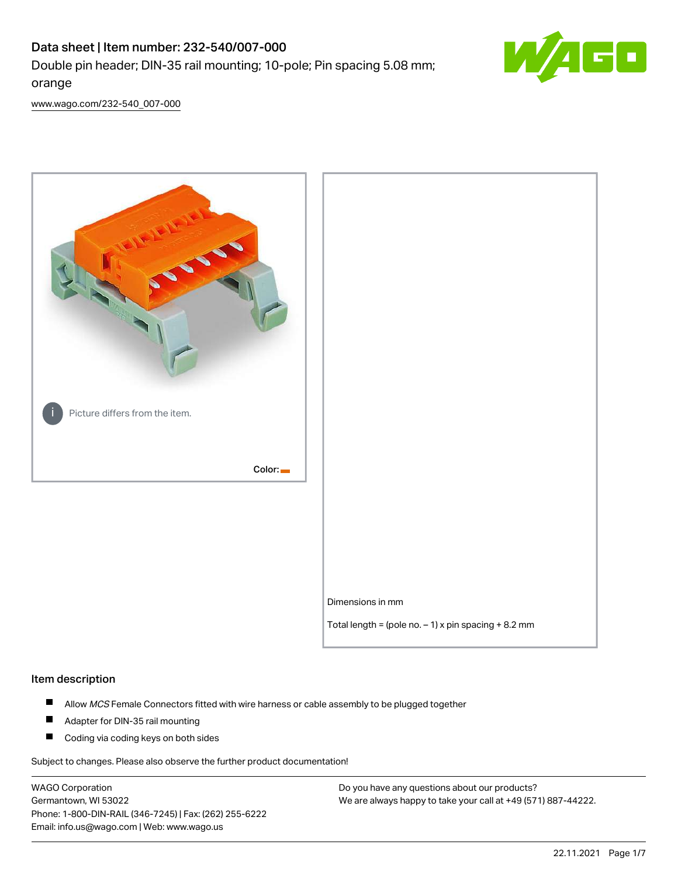# Data sheet | Item number: 232-540/007-000 Double pin header; DIN-35 rail mounting; 10-pole; Pin spacing 5.08 mm; orange



[www.wago.com/232-540\\_007-000](http://www.wago.com/232-540_007-000)



#### Item description

- $\blacksquare$ Allow MCS Female Connectors fitted with wire harness or cable assembly to be plugged together
- $\blacksquare$ Adapter for DIN-35 rail mounting
- $\blacksquare$ Coding via coding keys on both sides

Subject to changes. Please also observe the further product documentation!

WAGO Corporation Germantown, WI 53022 Phone: 1-800-DIN-RAIL (346-7245) | Fax: (262) 255-6222 Email: info.us@wago.com | Web: www.wago.us

Do you have any questions about our products? We are always happy to take your call at +49 (571) 887-44222.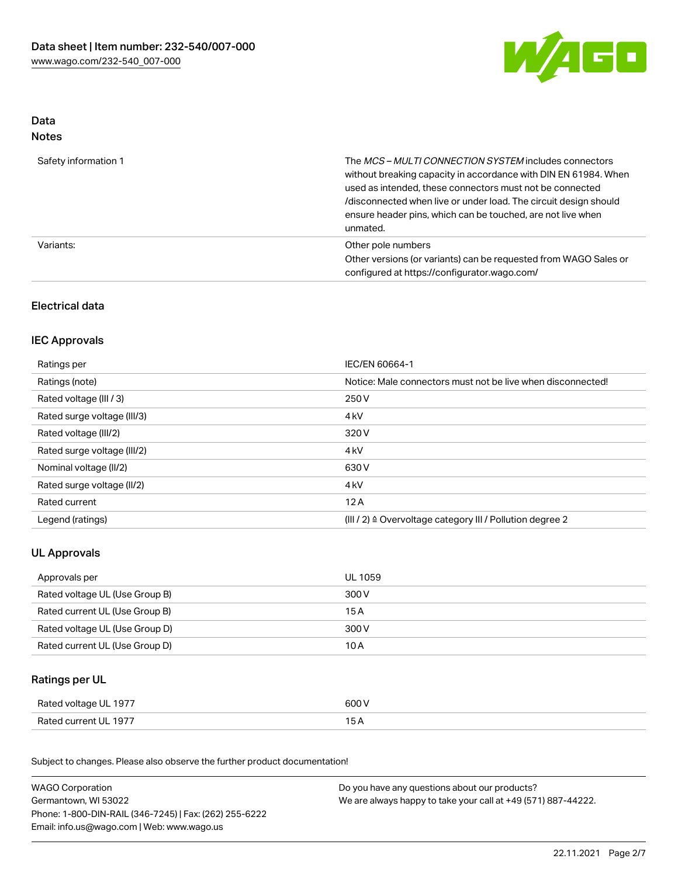

## Data Notes

| Safety information 1 | The <i>MCS – MULTI CONNECTION SYSTEM</i> includes connectors<br>without breaking capacity in accordance with DIN EN 61984. When<br>used as intended, these connectors must not be connected<br>/disconnected when live or under load. The circuit design should<br>ensure header pins, which can be touched, are not live when<br>unmated. |
|----------------------|--------------------------------------------------------------------------------------------------------------------------------------------------------------------------------------------------------------------------------------------------------------------------------------------------------------------------------------------|
| Variants:            | Other pole numbers<br>Other versions (or variants) can be requested from WAGO Sales or<br>configured at https://configurator.wago.com/                                                                                                                                                                                                     |

## Electrical data

## IEC Approvals

| Ratings per                 | IEC/EN 60664-1                                                        |
|-----------------------------|-----------------------------------------------------------------------|
| Ratings (note)              | Notice: Male connectors must not be live when disconnected!           |
| Rated voltage (III / 3)     | 250 V                                                                 |
| Rated surge voltage (III/3) | 4 <sub>k</sub> V                                                      |
| Rated voltage (III/2)       | 320 V                                                                 |
| Rated surge voltage (III/2) | 4 <sub>k</sub> V                                                      |
| Nominal voltage (II/2)      | 630 V                                                                 |
| Rated surge voltage (II/2)  | 4 <sub>k</sub> V                                                      |
| Rated current               | 12A                                                                   |
| Legend (ratings)            | $(III / 2)$ $\triangle$ Overvoltage category III / Pollution degree 2 |

## UL Approvals

| Approvals per                  | UL 1059 |
|--------------------------------|---------|
| Rated voltage UL (Use Group B) | 300 V   |
| Rated current UL (Use Group B) | 15 A    |
| Rated voltage UL (Use Group D) | 300 V   |
| Rated current UL (Use Group D) | 10 A    |

## Ratings per UL

| Rated voltage UL 1977 | 600 V |
|-----------------------|-------|
| Rated current UL 1977 |       |

Subject to changes. Please also observe the further product documentation!

| <b>WAGO Corporation</b>                                | Do you have any questions about our products?                 |  |
|--------------------------------------------------------|---------------------------------------------------------------|--|
| Germantown, WI 53022                                   | We are always happy to take your call at +49 (571) 887-44222. |  |
| Phone: 1-800-DIN-RAIL (346-7245)   Fax: (262) 255-6222 |                                                               |  |
| Email: info.us@wago.com   Web: www.wago.us             |                                                               |  |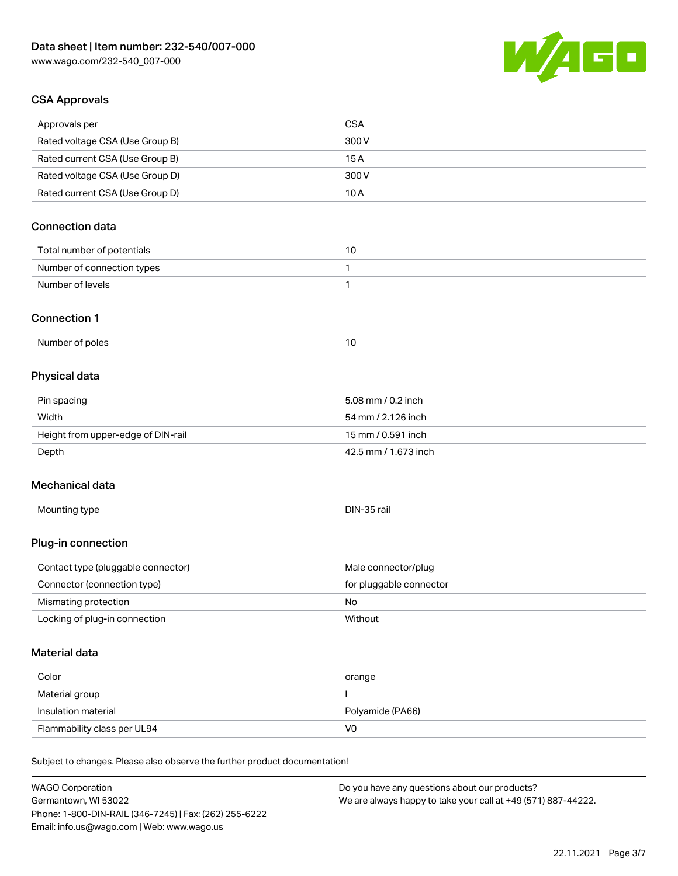

## CSA Approvals

| Approvals per                                                              | <b>CSA</b>                                    |
|----------------------------------------------------------------------------|-----------------------------------------------|
| Rated voltage CSA (Use Group B)                                            | 300V                                          |
| Rated current CSA (Use Group B)                                            | 15A                                           |
| Rated voltage CSA (Use Group D)                                            | 300 V                                         |
| Rated current CSA (Use Group D)                                            | 10A                                           |
| <b>Connection data</b>                                                     |                                               |
| Total number of potentials                                                 | 10                                            |
| Number of connection types                                                 | 1                                             |
| Number of levels                                                           | $\mathbf{1}$                                  |
| <b>Connection 1</b>                                                        |                                               |
| Number of poles                                                            | 10                                            |
| Physical data                                                              |                                               |
| Pin spacing                                                                | 5.08 mm / 0.2 inch                            |
| Width                                                                      | 54 mm / 2.126 inch                            |
| Height from upper-edge of DIN-rail                                         | 15 mm / 0.591 inch                            |
| Depth                                                                      | 42.5 mm / 1.673 inch                          |
| Mechanical data                                                            |                                               |
| Mounting type                                                              | DIN-35 rail                                   |
| Plug-in connection                                                         |                                               |
| Contact type (pluggable connector)                                         | Male connector/plug                           |
| Connector (connection type)                                                | for pluggable connector                       |
| Mismating protection                                                       | No                                            |
| Locking of plug-in connection                                              | Without                                       |
| <b>Material data</b>                                                       |                                               |
| Color                                                                      | orange                                        |
| Material group                                                             | <sup>1</sup>                                  |
| Insulation material                                                        | Polyamide (PA66)                              |
| Flammability class per UL94                                                | V <sub>0</sub>                                |
| Subject to changes. Please also observe the further product documentation! |                                               |
| <b>WAGO Corporation</b>                                                    | Do you have any questions about our products? |

Germantown, WI 53022 Phone: 1-800-DIN-RAIL (346-7245) | Fax: (262) 255-6222 Email: info.us@wago.com | Web: www.wago.us

We are always happy to take your call at +49 (571) 887-44222.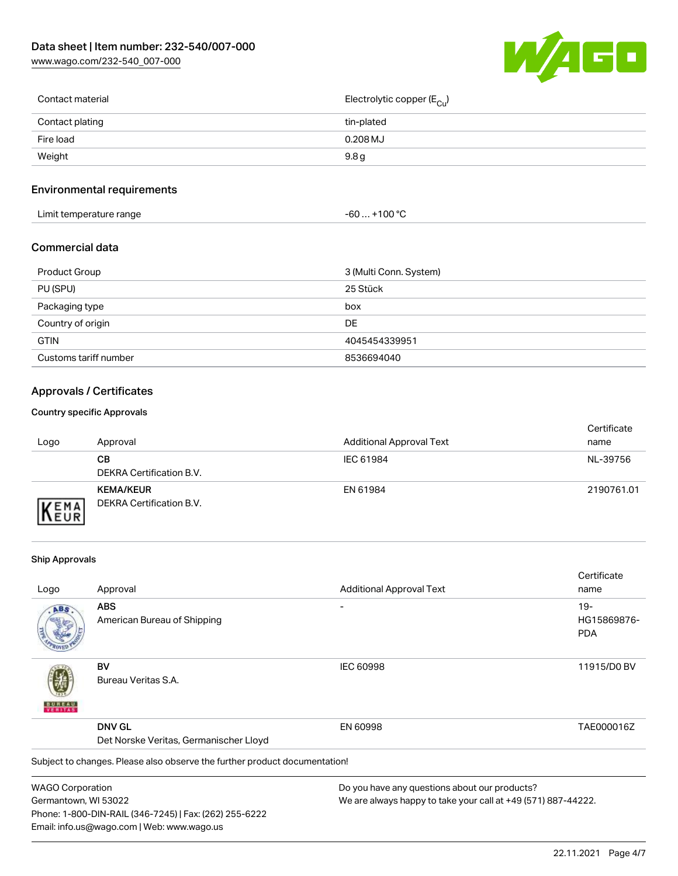[www.wago.com/232-540\\_007-000](http://www.wago.com/232-540_007-000)



| Contact material | Electrolytic copper (E <sub>Cu</sub> ) |
|------------------|----------------------------------------|
| Contact plating  | tin-plated                             |
| Fire load        | $0.208$ MJ                             |
| Weight           | 9.8 <sub>g</sub>                       |
|                  |                                        |

## Environmental requirements

| Limit temperature range<br>the contract of the contract of the contract of the contract of the contract of the contract of the contract of | +100 °C<br>-60 |
|--------------------------------------------------------------------------------------------------------------------------------------------|----------------|
|--------------------------------------------------------------------------------------------------------------------------------------------|----------------|

### Commercial data

| <b>Product Group</b>  | 3 (Multi Conn. System) |
|-----------------------|------------------------|
| PU (SPU)              | 25 Stück               |
| Packaging type        | box                    |
| Country of origin     | DE                     |
| <b>GTIN</b>           | 4045454339951          |
| Customs tariff number | 8536694040             |

## Approvals / Certificates

#### Country specific Approvals

| Logo                        | Approval                                     | <b>Additional Approval Text</b> | Certificate<br>name |
|-----------------------------|----------------------------------------------|---------------------------------|---------------------|
|                             | CВ<br>DEKRA Certification B.V.               | IEC 61984                       | NL-39756            |
| <b>VEMA</b><br><b>INEUR</b> | <b>KEMA/KEUR</b><br>DEKRA Certification B.V. | EN 61984                        | 2190761.01          |

#### Ship Approvals

Email: info.us@wago.com | Web: www.wago.us

|                                        |                                                                            |                                                               | Certificate |
|----------------------------------------|----------------------------------------------------------------------------|---------------------------------------------------------------|-------------|
| Logo                                   | Approval                                                                   | <b>Additional Approval Text</b>                               | name        |
| ABS                                    | <b>ABS</b>                                                                 |                                                               | $19-$       |
|                                        | American Bureau of Shipping                                                |                                                               | HG15869876- |
|                                        |                                                                            |                                                               | <b>PDA</b>  |
|                                        | BV                                                                         | <b>IEC 60998</b>                                              | 11915/D0 BV |
| VERITAS                                | Bureau Veritas S.A.                                                        |                                                               |             |
|                                        | <b>DNV GL</b>                                                              | EN 60998                                                      | TAE000016Z  |
| Det Norske Veritas, Germanischer Lloyd |                                                                            |                                                               |             |
|                                        | Subject to changes. Please also observe the further product documentation! |                                                               |             |
| <b>WAGO Corporation</b>                |                                                                            | Do you have any questions about our products?                 |             |
| Germantown, WI 53022                   |                                                                            | We are always happy to take your call at +49 (571) 887-44222. |             |
|                                        | Phone: 1-800-DIN-RAIL (346-7245)   Fax: (262) 255-6222                     |                                                               |             |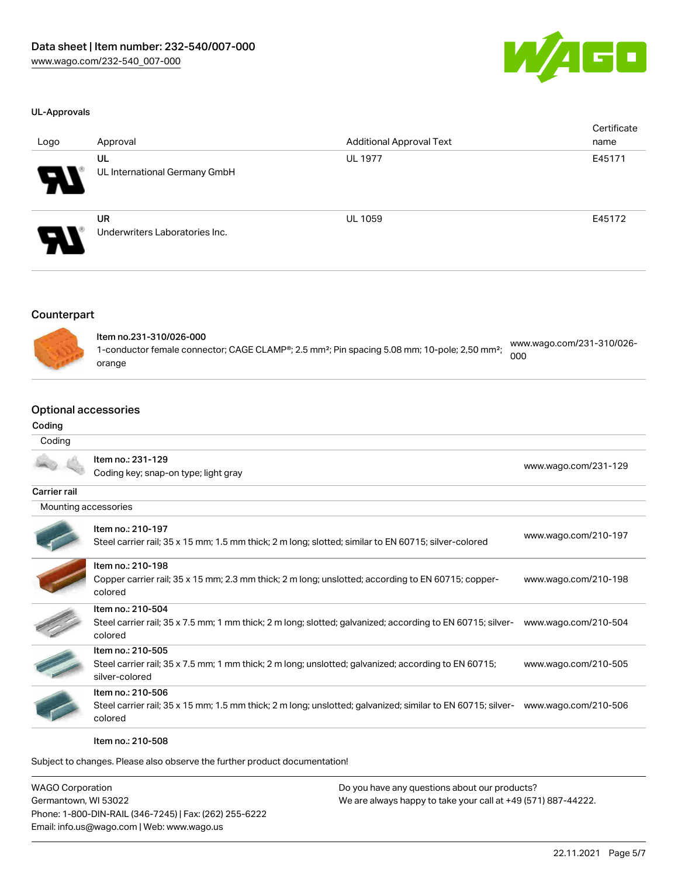

#### UL-Approvals

| Logo | Approval                                    | <b>Additional Approval Text</b> | Certificate<br>name |
|------|---------------------------------------------|---------------------------------|---------------------|
| Э.   | UL<br>UL International Germany GmbH         | <b>UL 1977</b>                  | E45171              |
| 8    | <b>UR</b><br>Underwriters Laboratories Inc. | <b>UL 1059</b>                  | E45172              |

#### Counterpart



| ltem no.231-310/026-000<br>1-conductor female connector; CAGE CLAMP®; 2.5 mm <sup>2</sup> ; Pin spacing 5.08 mm; 10-pole; 2,50 mm <sup>2</sup> ;<br>orange | www.wago.com/231-310/026- |
|------------------------------------------------------------------------------------------------------------------------------------------------------------|---------------------------|
|                                                                                                                                                            | 000                       |

## Optional accessories

#### Coding

#### Coding

|                      | Item no.: 231-129<br>Coding key; snap-on type; light gray                                                                                   | www.wago.com/231-129 |
|----------------------|---------------------------------------------------------------------------------------------------------------------------------------------|----------------------|
| Carrier rail         |                                                                                                                                             |                      |
| Mounting accessories |                                                                                                                                             |                      |
|                      | Item no.: 210-197<br>Steel carrier rail; 35 x 15 mm; 1.5 mm thick; 2 m long; slotted; similar to EN 60715; silver-colored                   | www.wago.com/210-197 |
|                      | Item no.: 210-198<br>Copper carrier rail; 35 x 15 mm; 2.3 mm thick; 2 m long; unslotted; according to EN 60715; copper-<br>colored          | www.wago.com/210-198 |
|                      | Item no.: 210-504<br>Steel carrier rail; 35 x 7.5 mm; 1 mm thick; 2 m long; slotted; galvanized; according to EN 60715; silver-<br>colored  | www.wago.com/210-504 |
|                      | Item no.: 210-505<br>Steel carrier rail; 35 x 7.5 mm; 1 mm thick; 2 m long; unslotted; galvanized; according to EN 60715;<br>silver-colored | www.wago.com/210-505 |
|                      | Item no.: 210-506<br>Steel carrier rail; 35 x 15 mm; 1.5 mm thick; 2 m long; unslotted; galvanized; similar to EN 60715; silver-<br>colored | www.wago.com/210-506 |

Item no.: 210-508

Subject to changes. Please also observe the further product documentation!

WAGO Corporation Germantown, WI 53022 Phone: 1-800-DIN-RAIL (346-7245) | Fax: (262) 255-6222 Email: info.us@wago.com | Web: www.wago.us

Do you have any questions about our products? We are always happy to take your call at +49 (571) 887-44222.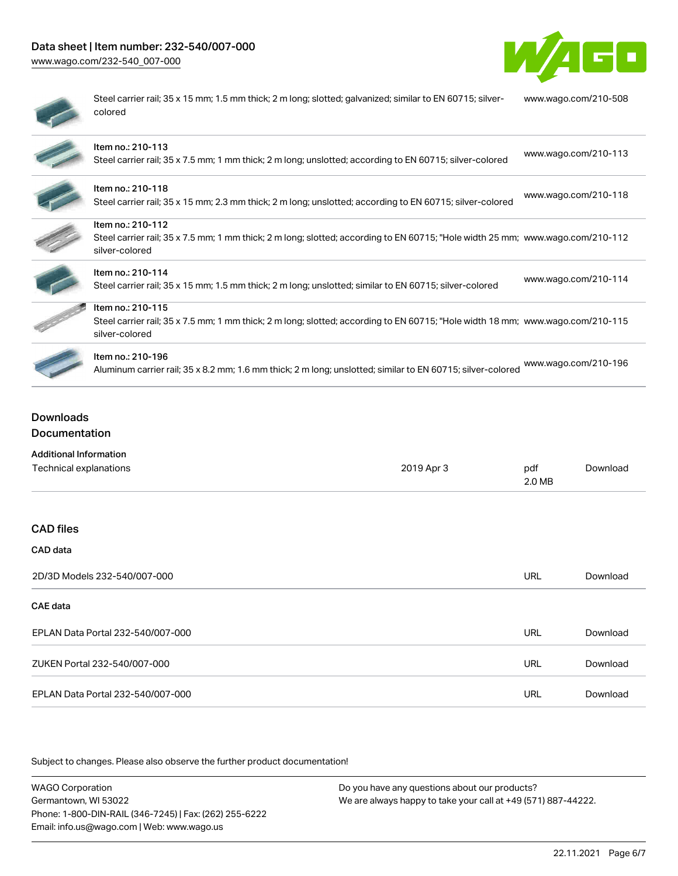## Data sheet | Item number: 232-540/007-000

[www.wago.com/232-540\\_007-000](http://www.wago.com/232-540_007-000)



| ۱ |
|---|
|   |
|   |

Steel carrier rail; 35 x 15 mm; 1.5 mm thick; 2 m long; slotted; galvanized; similar to EN 60715; silvercolored [www.wago.com/210-508](http://www.wago.com/210-508)

| Item no.: 210-113<br>Steel carrier rail; 35 x 7.5 mm; 1 mm thick; 2 m long; unslotted; according to EN 60715; silver-colored                                          | www.wago.com/210-113 |
|-----------------------------------------------------------------------------------------------------------------------------------------------------------------------|----------------------|
| Item no.: 210-118<br>Steel carrier rail; 35 x 15 mm; 2.3 mm thick; 2 m long; unslotted; according to EN 60715; silver-colored                                         | www.wago.com/210-118 |
| Item no.: 210-112<br>Steel carrier rail; 35 x 7.5 mm; 1 mm thick; 2 m long; slotted; according to EN 60715; "Hole width 25 mm; www.wago.com/210-112<br>silver-colored |                      |
| Item no.: 210-114<br>Steel carrier rail; 35 x 15 mm; 1.5 mm thick; 2 m long; unslotted; similar to EN 60715; silver-colored                                           | www.wago.com/210-114 |
| Item no.: 210-115<br>Steel carrier rail; 35 x 7.5 mm; 1 mm thick; 2 m long; slotted; according to EN 60715; "Hole width 18 mm; www.wago.com/210-115<br>silver-colored |                      |
| Item no.: 210-196<br>Aluminum carrier rail; 35 x 8.2 mm; 1.6 mm thick; 2 m long; unslotted; similar to EN 60715; silver-colored                                       | www.wago.com/210-196 |

## Downloads Documentation

| <b>Additional Information</b>     |            |               |          |
|-----------------------------------|------------|---------------|----------|
| Technical explanations            | 2019 Apr 3 | pdf<br>2.0 MB | Download |
|                                   |            |               |          |
| <b>CAD files</b>                  |            |               |          |
| CAD data                          |            |               |          |
| 2D/3D Models 232-540/007-000      |            | URL           | Download |
| CAE data                          |            |               |          |
| EPLAN Data Portal 232-540/007-000 |            | <b>URL</b>    | Download |
| ZUKEN Portal 232-540/007-000      |            | URL           | Download |
| EPLAN Data Portal 232-540/007-000 |            | URL           | Download |

Subject to changes. Please also observe the further product documentation!

WAGO Corporation Germantown, WI 53022 Phone: 1-800-DIN-RAIL (346-7245) | Fax: (262) 255-6222 Email: info.us@wago.com | Web: www.wago.us Do you have any questions about our products? We are always happy to take your call at +49 (571) 887-44222.